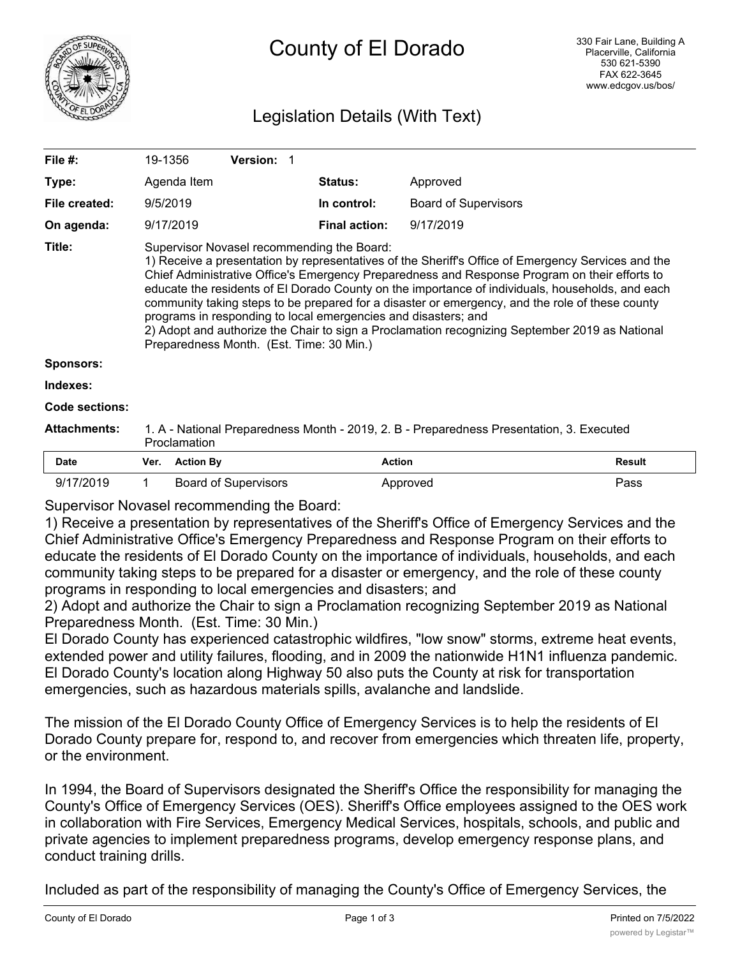

## County of El Dorado

## Legislation Details (With Text)

| File #:             | 19-1356                                                                                                                                                                                                                                                                                                                                                                                                                                                                                                                                                                                                                                                                  | <b>Version: 1</b> |                      |                             |  |  |
|---------------------|--------------------------------------------------------------------------------------------------------------------------------------------------------------------------------------------------------------------------------------------------------------------------------------------------------------------------------------------------------------------------------------------------------------------------------------------------------------------------------------------------------------------------------------------------------------------------------------------------------------------------------------------------------------------------|-------------------|----------------------|-----------------------------|--|--|
| Type:               | Agenda Item                                                                                                                                                                                                                                                                                                                                                                                                                                                                                                                                                                                                                                                              |                   | <b>Status:</b>       | Approved                    |  |  |
| File created:       | 9/5/2019                                                                                                                                                                                                                                                                                                                                                                                                                                                                                                                                                                                                                                                                 |                   | In control:          | <b>Board of Supervisors</b> |  |  |
| On agenda:          | 9/17/2019                                                                                                                                                                                                                                                                                                                                                                                                                                                                                                                                                                                                                                                                |                   | <b>Final action:</b> | 9/17/2019                   |  |  |
| Title:              | Supervisor Novasel recommending the Board:<br>1) Receive a presentation by representatives of the Sheriff's Office of Emergency Services and the<br>Chief Administrative Office's Emergency Preparedness and Response Program on their efforts to<br>educate the residents of El Dorado County on the importance of individuals, households, and each<br>community taking steps to be prepared for a disaster or emergency, and the role of these county<br>programs in responding to local emergencies and disasters; and<br>2) Adopt and authorize the Chair to sign a Proclamation recognizing September 2019 as National<br>Preparedness Month. (Est. Time: 30 Min.) |                   |                      |                             |  |  |
| Sponsors:           |                                                                                                                                                                                                                                                                                                                                                                                                                                                                                                                                                                                                                                                                          |                   |                      |                             |  |  |
| Indexes:            |                                                                                                                                                                                                                                                                                                                                                                                                                                                                                                                                                                                                                                                                          |                   |                      |                             |  |  |
| Code sections:      |                                                                                                                                                                                                                                                                                                                                                                                                                                                                                                                                                                                                                                                                          |                   |                      |                             |  |  |
| <b>Attachments:</b> | 1. A - National Preparedness Month - 2019, 2. B - Preparedness Presentation, 3. Executed<br>Proclamation                                                                                                                                                                                                                                                                                                                                                                                                                                                                                                                                                                 |                   |                      |                             |  |  |

| <b>Date</b> | Ver. | <b>Action By</b>     | <b>Action</b> | <b>Result</b> |
|-------------|------|----------------------|---------------|---------------|
| 9/17/2019   |      | Board of Supervisors | Approved      | Pass          |

Supervisor Novasel recommending the Board:

1) Receive a presentation by representatives of the Sheriff's Office of Emergency Services and the Chief Administrative Office's Emergency Preparedness and Response Program on their efforts to educate the residents of El Dorado County on the importance of individuals, households, and each community taking steps to be prepared for a disaster or emergency, and the role of these county programs in responding to local emergencies and disasters; and

2) Adopt and authorize the Chair to sign a Proclamation recognizing September 2019 as National Preparedness Month. (Est. Time: 30 Min.)

El Dorado County has experienced catastrophic wildfires, "low snow" storms, extreme heat events, extended power and utility failures, flooding, and in 2009 the nationwide H1N1 influenza pandemic. El Dorado County's location along Highway 50 also puts the County at risk for transportation emergencies, such as hazardous materials spills, avalanche and landslide.

The mission of the El Dorado County Office of Emergency Services is to help the residents of El Dorado County prepare for, respond to, and recover from emergencies which threaten life, property, or the environment.

In 1994, the Board of Supervisors designated the Sheriff's Office the responsibility for managing the County's Office of Emergency Services (OES). Sheriff's Office employees assigned to the OES work in collaboration with Fire Services, Emergency Medical Services, hospitals, schools, and public and private agencies to implement preparedness programs, develop emergency response plans, and conduct training drills.

Included as part of the responsibility of managing the County's Office of Emergency Services, the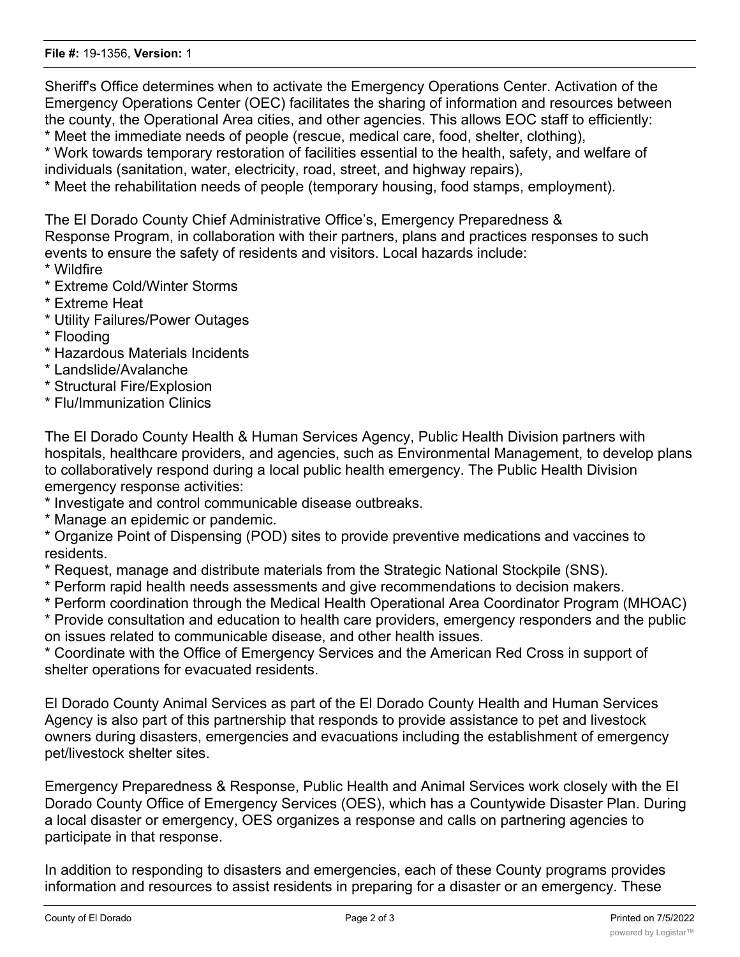Sheriff's Office determines when to activate the Emergency Operations Center. Activation of the Emergency Operations Center (OEC) facilitates the sharing of information and resources between the county, the Operational Area cities, and other agencies. This allows EOC staff to efficiently: \* Meet the immediate needs of people (rescue, medical care, food, shelter, clothing),

\* Work towards temporary restoration of facilities essential to the health, safety, and welfare of individuals (sanitation, water, electricity, road, street, and highway repairs),

\* Meet the rehabilitation needs of people (temporary housing, food stamps, employment).

The El Dorado County Chief Administrative Office's, Emergency Preparedness & Response Program, in collaboration with their partners, plans and practices responses to such events to ensure the safety of residents and visitors. Local hazards include:

- \* Wildfire
- \* Extreme Cold/Winter Storms
- \* Extreme Heat
- \* Utility Failures/Power Outages
- \* Flooding
- \* Hazardous Materials Incidents
- \* Landslide/Avalanche
- \* Structural Fire/Explosion
- \* Flu/Immunization Clinics

The El Dorado County Health & Human Services Agency, Public Health Division partners with hospitals, healthcare providers, and agencies, such as Environmental Management, to develop plans to collaboratively respond during a local public health emergency. The Public Health Division emergency response activities:

- \* Investigate and control communicable disease outbreaks.
- \* Manage an epidemic or pandemic.

\* Organize Point of Dispensing (POD) sites to provide preventive medications and vaccines to residents.

- \* Request, manage and distribute materials from the Strategic National Stockpile (SNS).
- \* Perform rapid health needs assessments and give recommendations to decision makers.

\* Perform coordination through the Medical Health Operational Area Coordinator Program (MHOAC) \* Provide consultation and education to health care providers, emergency responders and the public

on issues related to communicable disease, and other health issues.

\* Coordinate with the Office of Emergency Services and the American Red Cross in support of shelter operations for evacuated residents.

El Dorado County Animal Services as part of the El Dorado County Health and Human Services Agency is also part of this partnership that responds to provide assistance to pet and livestock owners during disasters, emergencies and evacuations including the establishment of emergency pet/livestock shelter sites.

Emergency Preparedness & Response, Public Health and Animal Services work closely with the El Dorado County Office of Emergency Services (OES), which has a Countywide Disaster Plan. During a local disaster or emergency, OES organizes a response and calls on partnering agencies to participate in that response.

In addition to responding to disasters and emergencies, each of these County programs provides information and resources to assist residents in preparing for a disaster or an emergency. These